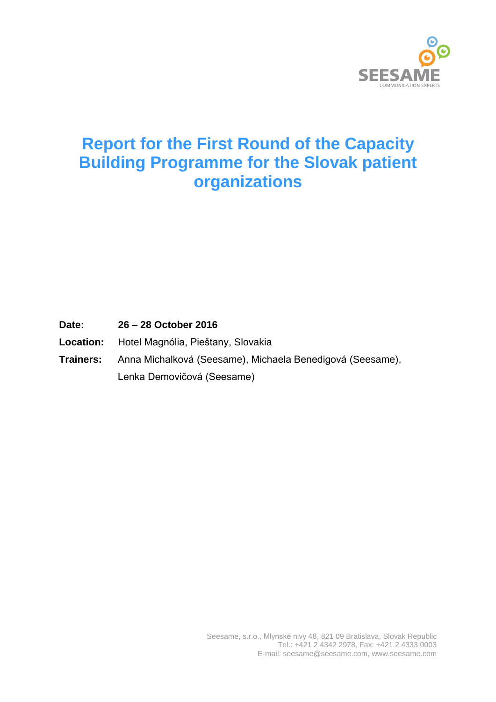

# **Report for the First Round of the Capacity Building Programme for the Slovak patient organizations**

**Date: 26 – 28 October 2016**

- **Location:** Hotel Magnólia, Pieštany, Slovakia
- **Trainers:** Anna Michalková (Seesame), Michaela Benedigová (Seesame), Lenka Demovičová (Seesame)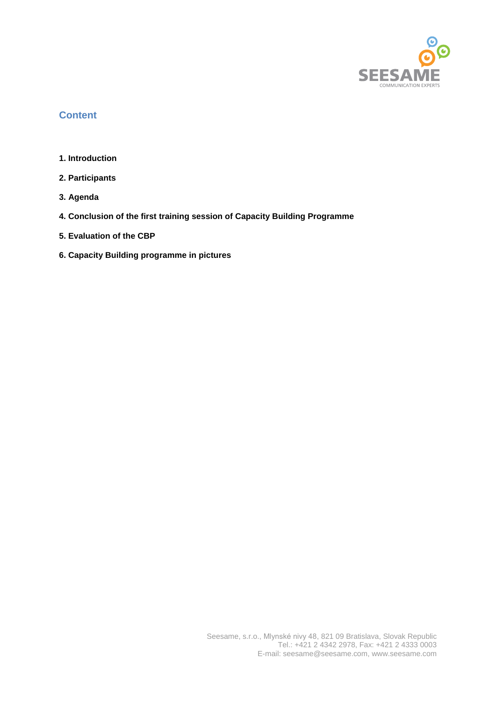

# **Content**

- **1. Introduction**
- **2. Participants**
- **3. Agenda**
- **4. Conclusion of the first training session of Capacity Building Programme**
- **5. Evaluation of the CBP**
- **6. Capacity Building programme in pictures**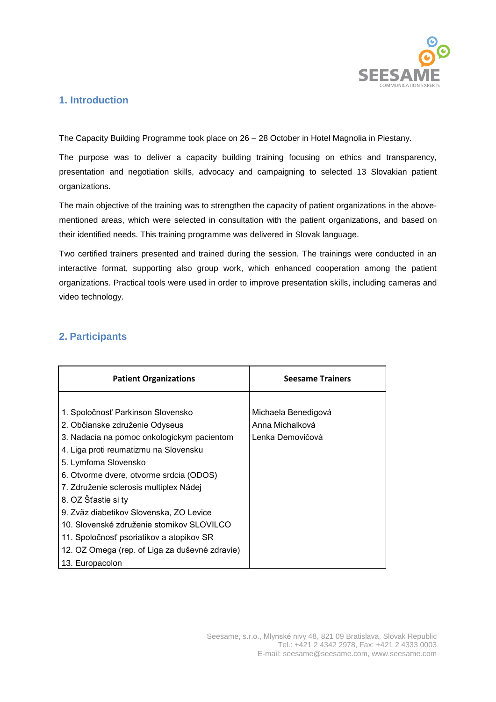

# **1. Introduction**

The Capacity Building Programme took place on 26 – 28 October in Hotel Magnolia in Piestany.

The purpose was to deliver a capacity building training focusing on ethics and transparency, presentation and negotiation skills, advocacy and campaigning to selected 13 Slovakian patient organizations.

The main objective of the training was to strengthen the capacity of patient organizations in the abovementioned areas, which were selected in consultation with the patient organizations, and based on their identified needs. This training programme was delivered in Slovak language.

Two certified trainers presented and trained during the session. The trainings were conducted in an interactive format, supporting also group work, which enhanced cooperation among the patient organizations. Practical tools were used in order to improve presentation skills, including cameras and video technology.

# **2. Participants**

| <b>Patient Organizations</b>                   | <b>Seesame Trainers</b> |
|------------------------------------------------|-------------------------|
|                                                |                         |
| 1. Spoločnosť Parkinson Slovensko              | Michaela Benedigová     |
| 2. Občianske združenie Odyseus                 | Anna Michalková         |
| 3. Nadacia na pomoc onkologickym pacientom     | Lenka Demovičová        |
| 4. Liga proti reumatizmu na Slovensku          |                         |
| 5. Lymfoma Slovensko                           |                         |
| 6. Otvorme dvere, otvorme srdcia (ODOS)        |                         |
| 7. Združenie sclerosis multiplex Nádej         |                         |
| 8. OZ Šťastie si ty                            |                         |
| 9. Zväz diabetikov Slovenska, ZO Levice        |                         |
| 10. Slovenské združenie stomikov SLOVILCO      |                         |
| 11. Spoločnosť psoriatikov a atopikov SR       |                         |
| 12. OZ Omega (rep. of Liga za duševné zdravie) |                         |
| 13. Europacolon                                |                         |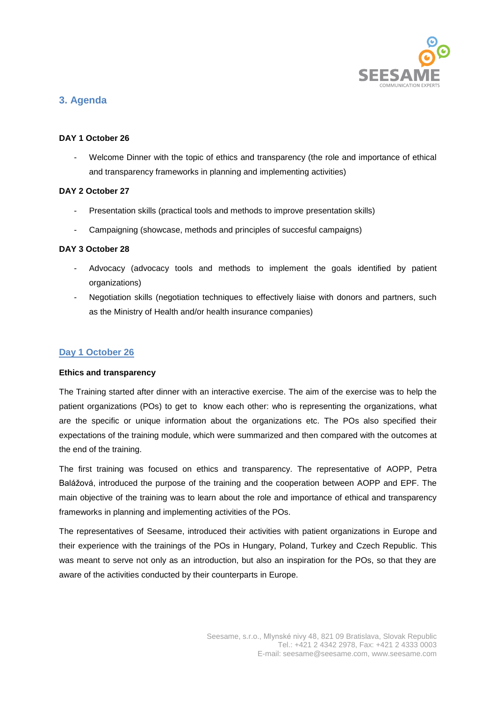

# **3. Agenda**

# **DAY 1 October 26**

Welcome Dinner with the topic of ethics and transparency (the role and importance of ethical and transparency frameworks in planning and implementing activities)

# **DAY 2 October 27**

- Presentation skills (practical tools and methods to improve presentation skills)
- Campaigning (showcase, methods and principles of succesful campaigns)

# **DAY 3 October 28**

- Advocacy (advocacy tools and methods to implement the goals identified by patient organizations)
- Negotiation skills (negotiation techniques to effectively liaise with donors and partners, such as the Ministry of Health and/or health insurance companies)

# **Day 1 October 26**

# **Ethics and transparency**

The Training started after dinner with an interactive exercise. The aim of the exercise was to help the patient organizations (POs) to get to know each other: who is representing the organizations, what are the specific or unique information about the organizations etc. The POs also specified their expectations of the training module, which were summarized and then compared with the outcomes at the end of the training.

The first training was focused on ethics and transparency. The representative of AOPP, Petra Balážová, introduced the purpose of the training and the cooperation between AOPP and EPF. The main objective of the training was to learn about the role and importance of ethical and transparency frameworks in planning and implementing activities of the POs.

The representatives of Seesame, introduced their activities with patient organizations in Europe and their experience with the trainings of the POs in Hungary, Poland, Turkey and Czech Republic. This was meant to serve not only as an introduction, but also an inspiration for the POs, so that they are aware of the activities conducted by their counterparts in Europe.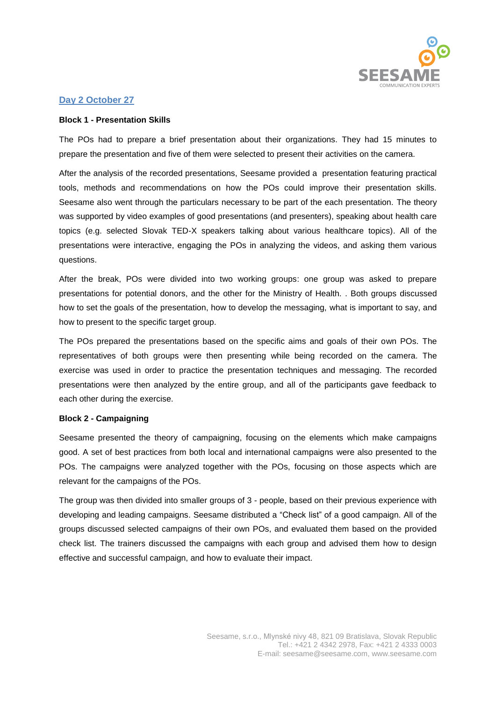

# **Day 2 October 27**

#### **Block 1 - Presentation Skills**

The POs had to prepare a brief presentation about their organizations. They had 15 minutes to prepare the presentation and five of them were selected to present their activities on the camera.

After the analysis of the recorded presentations, Seesame provided a presentation featuring practical tools, methods and recommendations on how the POs could improve their presentation skills. Seesame also went through the particulars necessary to be part of the each presentation. The theory was supported by video examples of good presentations (and presenters), speaking about health care topics (e.g. selected Slovak TED-X speakers talking about various healthcare topics). All of the presentations were interactive, engaging the POs in analyzing the videos, and asking them various questions.

After the break, POs were divided into two working groups: one group was asked to prepare presentations for potential donors, and the other for the Ministry of Health. . Both groups discussed how to set the goals of the presentation, how to develop the messaging, what is important to say, and how to present to the specific target group.

The POs prepared the presentations based on the specific aims and goals of their own POs. The representatives of both groups were then presenting while being recorded on the camera. The exercise was used in order to practice the presentation techniques and messaging. The recorded presentations were then analyzed by the entire group, and all of the participants gave feedback to each other during the exercise.

#### **Block 2 - Campaigning**

Seesame presented the theory of campaigning, focusing on the elements which make campaigns good. A set of best practices from both local and international campaigns were also presented to the POs. The campaigns were analyzed together with the POs, focusing on those aspects which are relevant for the campaigns of the POs.

The group was then divided into smaller groups of 3 - people, based on their previous experience with developing and leading campaigns. Seesame distributed a "Check list" of a good campaign. All of the groups discussed selected campaigns of their own POs, and evaluated them based on the provided check list. The trainers discussed the campaigns with each group and advised them how to design effective and successful campaign, and how to evaluate their impact.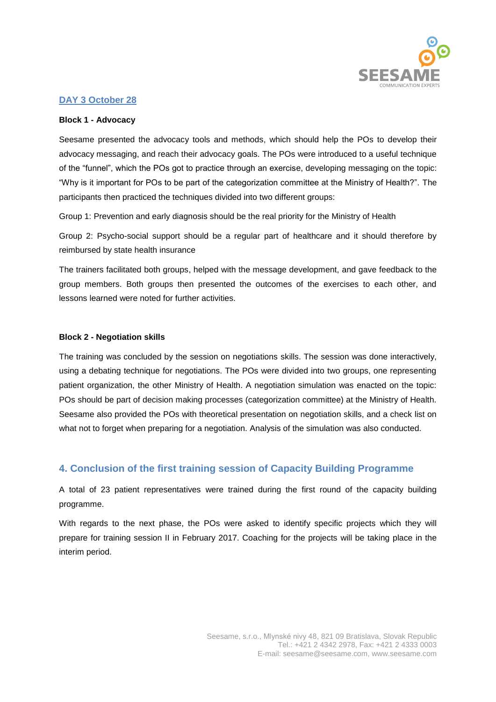

# **DAY 3 October 28**

#### **Block 1 - Advocacy**

Seesame presented the advocacy tools and methods, which should help the POs to develop their advocacy messaging, and reach their advocacy goals. The POs were introduced to a useful technique of the "funnel", which the POs got to practice through an exercise, developing messaging on the topic: "Why is it important for POs to be part of the categorization committee at the Ministry of Health?". The participants then practiced the techniques divided into two different groups:

Group 1: Prevention and early diagnosis should be the real priority for the Ministry of Health

Group 2: Psycho-social support should be a regular part of healthcare and it should therefore by reimbursed by state health insurance

The trainers facilitated both groups, helped with the message development, and gave feedback to the group members. Both groups then presented the outcomes of the exercises to each other, and lessons learned were noted for further activities.

### **Block 2 - Negotiation skills**

The training was concluded by the session on negotiations skills. The session was done interactively, using a debating technique for negotiations. The POs were divided into two groups, one representing patient organization, the other Ministry of Health. A negotiation simulation was enacted on the topic: POs should be part of decision making processes (categorization committee) at the Ministry of Health. Seesame also provided the POs with theoretical presentation on negotiation skills, and a check list on what not to forget when preparing for a negotiation. Analysis of the simulation was also conducted.

# **4. Conclusion of the first training session of Capacity Building Programme**

A total of 23 patient representatives were trained during the first round of the capacity building programme.

With regards to the next phase, the POs were asked to identify specific projects which they will prepare for training session II in February 2017. Coaching for the projects will be taking place in the interim period.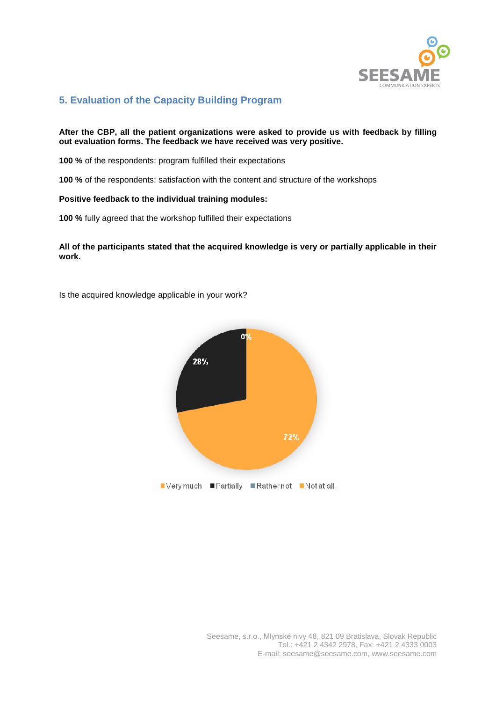

# **5. Evaluation of the Capacity Building Program**

## **After the CBP, all the patient organizations were asked to provide us with feedback by filling out evaluation forms. The feedback we have received was very positive.**

**100 %** of the respondents: program fulfilled their expectations

**100 %** of the respondents: satisfaction with the content and structure of the workshops

#### **Positive feedback to the individual training modules:**

**100 %** fully agreed that the workshop fulfilled their expectations

## **All of the participants stated that the acquired knowledge is very or partially applicable in their work.**

Is the acquired knowledge applicable in your work?

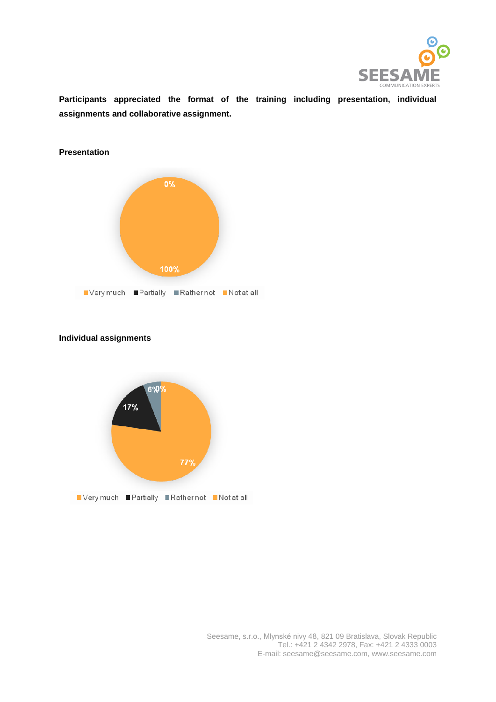

**Participants appreciated the format of the training including presentation, individual assignments and collaborative assignment.** 



# **Individual assignments**

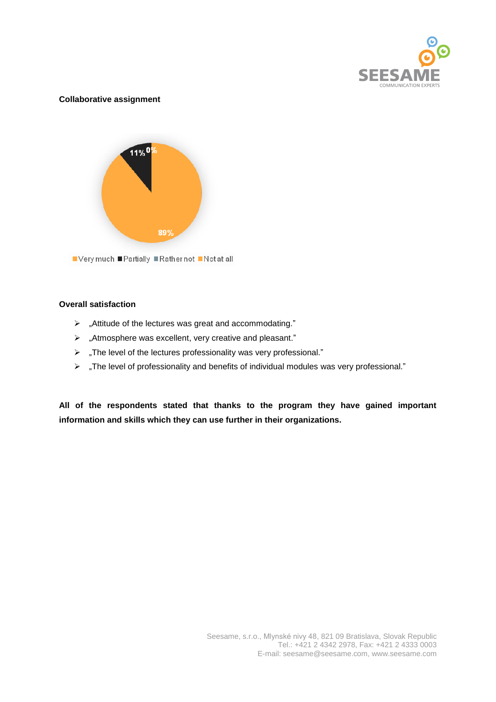

## **Collaborative assignment**



## **Overall satisfaction**

- "Attitude of the lectures was great and accommodating."
- "Atmosphere was excellent, very creative and pleasant."
- $\triangleright$  "The level of the lectures professionality was very professional."
- "The level of professionality and benefits of individual modules was very professional."

**All of the respondents stated that thanks to the program they have gained important information and skills which they can use further in their organizations.**